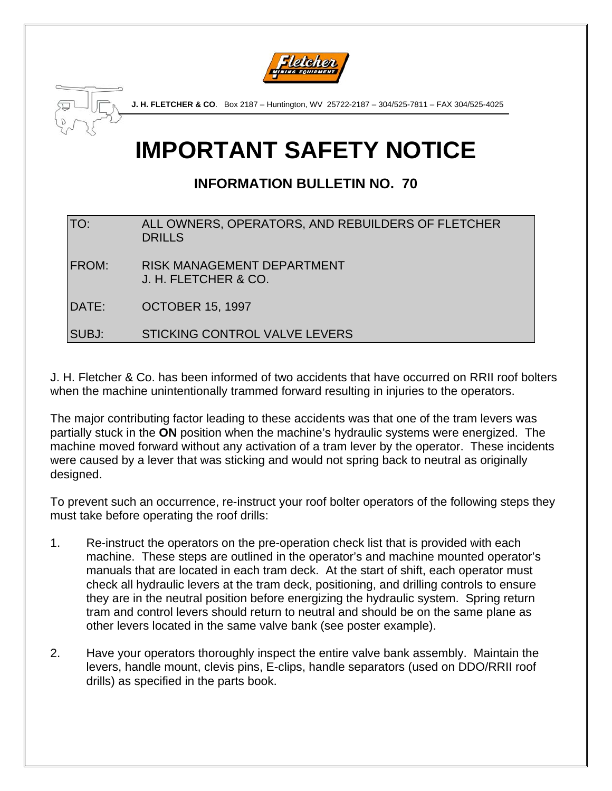



**J. H. FLETCHER & CO**. Box 2187 – Huntington, WV 25722-2187 – 304/525-7811 – FAX 304/525-4025

## **IMPORTANT SAFETY NOTICE**

## **INFORMATION BULLETIN NO. 70**

| TO:   | ALL OWNERS, OPERATORS, AND REBUILDERS OF FLETCHER<br><b>DRILLS</b> |
|-------|--------------------------------------------------------------------|
| FROM: | <b>RISK MANAGEMENT DEPARTMENT</b><br>J. H. FLETCHER & CO.          |
| DATE: | <b>OCTOBER 15, 1997</b>                                            |

SUBJ: STICKING CONTROL VALVE LEVERS

J. H. Fletcher & Co. has been informed of two accidents that have occurred on RRII roof bolters when the machine unintentionally trammed forward resulting in injuries to the operators.

The major contributing factor leading to these accidents was that one of the tram levers was partially stuck in the **ON** position when the machine's hydraulic systems were energized. The machine moved forward without any activation of a tram lever by the operator. These incidents were caused by a lever that was sticking and would not spring back to neutral as originally designed.

To prevent such an occurrence, re-instruct your roof bolter operators of the following steps they must take before operating the roof drills:

- 1. Re-instruct the operators on the pre-operation check list that is provided with each machine. These steps are outlined in the operator's and machine mounted operator's manuals that are located in each tram deck. At the start of shift, each operator must check all hydraulic levers at the tram deck, positioning, and drilling controls to ensure they are in the neutral position before energizing the hydraulic system. Spring return tram and control levers should return to neutral and should be on the same plane as other levers located in the same valve bank (see poster example).
- 2. Have your operators thoroughly inspect the entire valve bank assembly. Maintain the levers, handle mount, clevis pins, E-clips, handle separators (used on DDO/RRII roof drills) as specified in the parts book.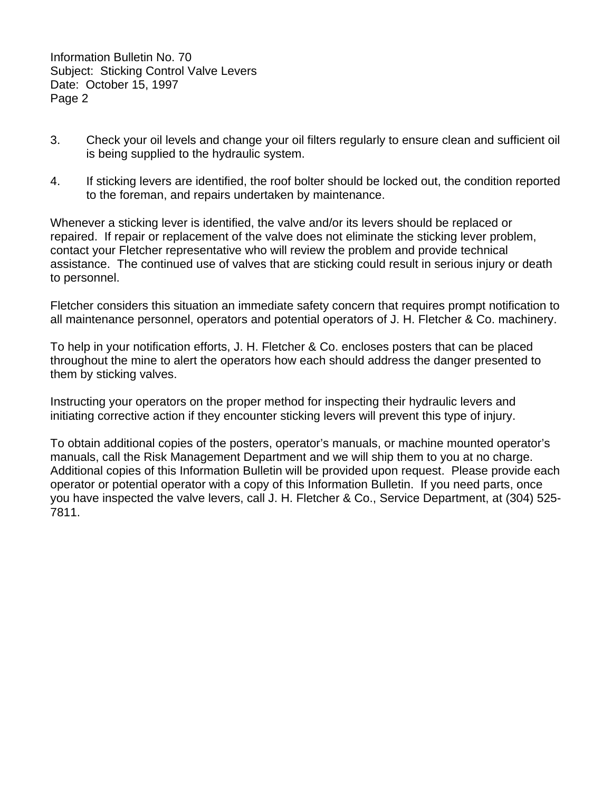Information Bulletin No. 70 Subject: Sticking Control Valve Levers Date: October 15, 1997 Page 2

- 3. Check your oil levels and change your oil filters regularly to ensure clean and sufficient oil is being supplied to the hydraulic system.
- 4. If sticking levers are identified, the roof bolter should be locked out, the condition reported to the foreman, and repairs undertaken by maintenance.

Whenever a sticking lever is identified, the valve and/or its levers should be replaced or repaired. If repair or replacement of the valve does not eliminate the sticking lever problem, contact your Fletcher representative who will review the problem and provide technical assistance. The continued use of valves that are sticking could result in serious injury or death to personnel.

Fletcher considers this situation an immediate safety concern that requires prompt notification to all maintenance personnel, operators and potential operators of J. H. Fletcher & Co. machinery.

To help in your notification efforts, J. H. Fletcher & Co. encloses posters that can be placed throughout the mine to alert the operators how each should address the danger presented to them by sticking valves.

Instructing your operators on the proper method for inspecting their hydraulic levers and initiating corrective action if they encounter sticking levers will prevent this type of injury.

To obtain additional copies of the posters, operator's manuals, or machine mounted operator's manuals, call the Risk Management Department and we will ship them to you at no charge. Additional copies of this Information Bulletin will be provided upon request. Please provide each operator or potential operator with a copy of this Information Bulletin. If you need parts, once you have inspected the valve levers, call J. H. Fletcher & Co., Service Department, at (304) 525- 7811.